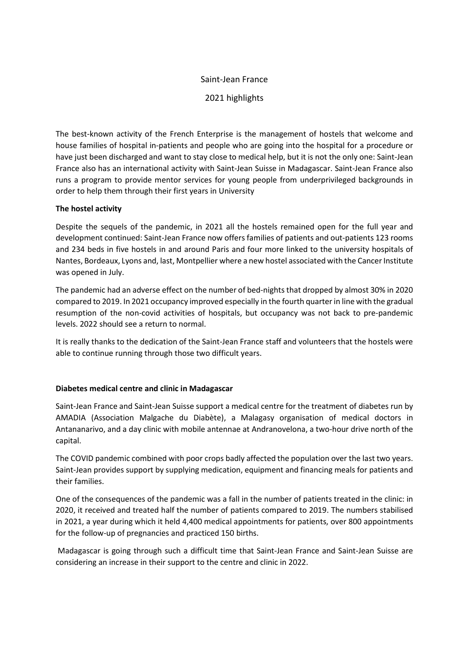# Saint-Jean France

# 2021 highlights

The best-known activity of the French Enterprise is the management of hostels that welcome and house families of hospital in-patients and people who are going into the hospital for a procedure or have just been discharged and want to stay close to medical help, but it is not the only one: Saint-Jean France also has an international activity with Saint-Jean Suisse in Madagascar. Saint-Jean France also runs a program to provide mentor services for young people from underprivileged backgrounds in order to help them through their first years in University

### The hostel activity

Despite the sequels of the pandemic, in 2021 all the hostels remained open for the full year and development continued: Saint-Jean France now offers families of patients and out-patients 123 rooms and 234 beds in five hostels in and around Paris and four more linked to the university hospitals of Nantes, Bordeaux, Lyons and, last, Montpellier where a new hostel associated with the Cancer Institute was opened in July.

The pandemic had an adverse effect on the number of bed-nights that dropped by almost 30% in 2020 compared to 2019. In 2021 occupancy improved especially in the fourth quarter in line with the gradual resumption of the non-covid activities of hospitals, but occupancy was not back to pre-pandemic levels. 2022 should see a return to normal.

It is really thanks to the dedication of the Saint-Jean France staff and volunteers that the hostels were able to continue running through those two difficult years.

### Diabetes medical centre and clinic in Madagascar

Saint-Jean France and Saint-Jean Suisse support a medical centre for the treatment of diabetes run by AMADIA (Association Malgache du Diabète), a Malagasy organisation of medical doctors in Antananarivo, and a day clinic with mobile antennae at Andranovelona, a two-hour drive north of the capital.

The COVID pandemic combined with poor crops badly affected the population over the last two years. Saint-Jean provides support by supplying medication, equipment and financing meals for patients and their families.

One of the consequences of the pandemic was a fall in the number of patients treated in the clinic: in 2020, it received and treated half the number of patients compared to 2019. The numbers stabilised in 2021, a year during which it held 4,400 medical appointments for patients, over 800 appointments for the follow-up of pregnancies and practiced 150 births.

 Madagascar is going through such a difficult time that Saint-Jean France and Saint-Jean Suisse are considering an increase in their support to the centre and clinic in 2022.